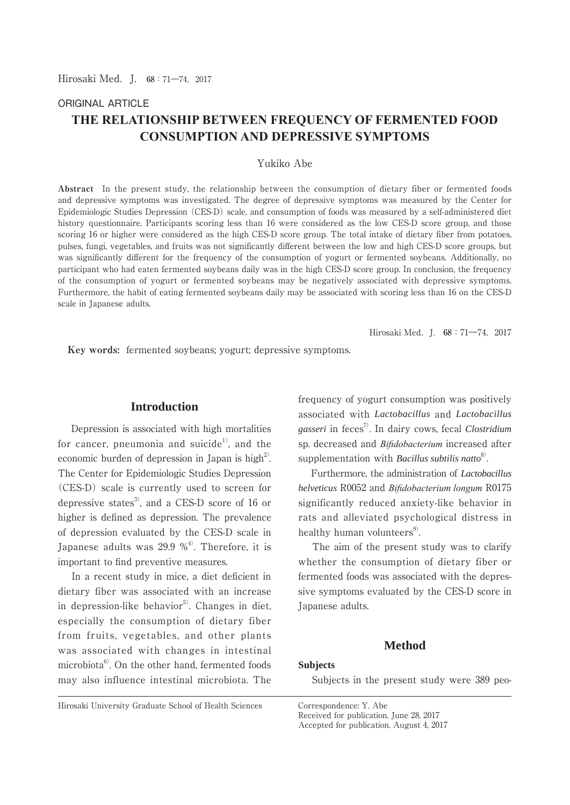### ORIGINAL ARTICLE

# **THE RELATIONSHIP BETWEEN FREQUENCY OF FERMENTED FOOD CONSUMPTION AND DEPRESSIVE SYMPTOMS**

# Yukiko Abe

**Abstract** In the present study, the relationship between the consumption of dietary fiber or fermented foods and depressive symptoms was investigated. The degree of depressive symptoms was measured by the Center for Epidemiologic Studies Depression (CES-D) scale, and consumption of foods was measured by a self-administered diet history questionnaire. Participants scoring less than 16 were considered as the low CES-D score group, and those scoring 16 or higher were considered as the high CES-D score group. The total intake of dietary fiber from potatoes, pulses, fungi, vegetables, and fruits was not significantly different between the low and high CES-D score groups, but was significantly different for the frequency of the consumption of yogurt or fermented soybeans. Additionally, no participant who had eaten fermented soybeans daily was in the high CES-D score group. In conclusion, the frequency of the consumption of yogurt or fermented soybeans may be negatively associated with depressive symptoms. Furthermore, the habit of eating fermented soybeans daily may be associated with scoring less than 16 on the CES-D scale in Japanese adults.

Hirosaki Med.J. **68**:71―74,2017

 **Key words:** fermented soybeans; yogurt; depressive symptoms.

# **Introduction**

 Depression is associated with high mortalities for cancer, pneumonia and suicide<sup>1)</sup>, and the economic burden of depression in Japan is high<sup>2)</sup>. The Center for Epidemiologic Studies Depression (CES-D) scale is currently used to screen for depressive states<sup>3</sup>, and a CES-D score of 16 or higher is defined as depression. The prevalence of depression evaluated by the CES-D scale in Japanese adults was 29.9  $\%$ <sup>4)</sup>. Therefore, it is important to find preventive measures.

 In a recent study in mice, a diet deficient in dietary fiber was associated with an increase in depression-like behavior<sup>5)</sup>. Changes in diet, especially the consumption of dietary fiber from fruits, vegetables, and other plants was associated with changes in intestinal microbiota $^{6}$ . On the other hand, fermented foods may also influence intestinal microbiota. The frequency of yogurt consumption was positively associated with *Lactobacillus* and *Lactobacillus gasseri* in feces7). In dairy cows, fecal *Clostridium* sp. decreased and *Bifidobacterium* increased after supplementation with *Bacillus subtilis natto*<sup>8)</sup>.

 Furthermore, the administration of *Lactobacillus helveticus* R0052 and *Bifidobacterium longum* R0175 significantly reduced anxiety-like behavior in rats and alleviated psychological distress in healthy human volunteers $9$ .

 The aim of the present study was to clarify whether the consumption of dietary fiber or fermented foods was associated with the depressive symptoms evaluated by the CES-D score in Japanese adults.

# **Method**

# **Subjects**

Subjects in the present study were 389 peo-

Hirosaki University Graduate School of Health Sciences Correspondence: Y. Abe

Received for publication, June 28, 2017

Accepted for publication, August 4, 2017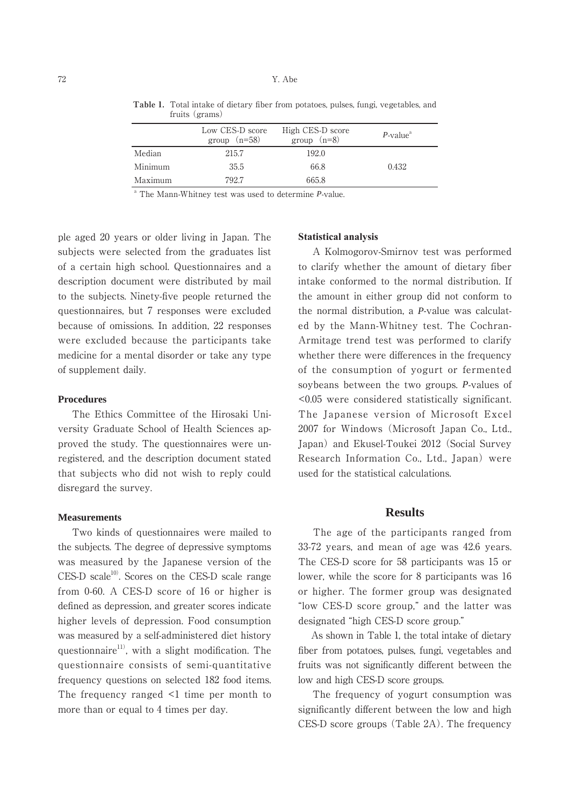|         | Low CES-D score<br>group $(n=58)$ | High CES-D score<br>group $(n=8)$ | $P$ -value <sup><math>a</math></sup> |
|---------|-----------------------------------|-----------------------------------|--------------------------------------|
| Median  | 215.7                             | 192.0                             |                                      |
| Minimum | 35.5                              | 66.8                              | 0.432                                |
| Maximum | 792.7                             | 665.8                             |                                      |

**Table 1.** Total intake of dietary fiber from potatoes, pulses, fungi, vegetables, and fruits (grams)

<sup>a</sup> The Mann-Whitney test was used to determine *P*-value.

ple aged 20 years or older living in Japan. The subjects were selected from the graduates list of a certain high school. Questionnaires and a description document were distributed by mail to the subjects. Ninety-five people returned the questionnaires, but 7 responses were excluded because of omissions. In addition, 22 responses were excluded because the participants take medicine for a mental disorder or take any type of supplement daily.

#### **Procedures**

 The Ethics Committee of the Hirosaki University Graduate School of Health Sciences approved the study. The questionnaires were unregistered, and the description document stated that subjects who did not wish to reply could disregard the survey.

#### **Measurements**

 Two kinds of questionnaires were mailed to the subjects. The degree of depressive symptoms was measured by the Japanese version of the  $CES-D scale<sup>10</sup>$ . Scores on the CES-D scale range from 0-60. A CES-D score of 16 or higher is defined as depression, and greater scores indicate higher levels of depression. Food consumption was measured by a self-administered diet history questionnaire<sup>11)</sup>, with a slight modification. The questionnaire consists of semi-quantitative frequency questions on selected 182 food items. The frequency ranged <1 time per month to more than or equal to 4 times per day.

#### **Statistical analysis**

 A Kolmogorov-Smirnov test was performed to clarify whether the amount of dietary fiber intake conformed to the normal distribution. If the amount in either group did not conform to the normal distribution, a *P*-value was calculated by the Mann-Whitney test. The Cochran-Armitage trend test was performed to clarify whether there were differences in the frequency of the consumption of yogurt or fermented soybeans between the two groups. *P*-values of <0.05 were considered statistically significant. The Japanese version of Microsoft Excel 2007 for Windows (Microsoft Japan Co., Ltd., Japan) and Ekusel-Toukei 2012 (Social Survey Research Information Co., Ltd., Japan) were used for the statistical calculations.

#### **Results**

 The age of the participants ranged from 33-72 years, and mean of age was 42.6 years. The CES-D score for 58 participants was 15 or lower, while the score for 8 participants was 16 or higher. The former group was designated "low CES-D score group," and the latter was designated "high CES-D score group."

 As shown in Table 1, the total intake of dietary fiber from potatoes, pulses, fungi, vegetables and fruits was not significantly different between the low and high CES-D score groups.

 The frequency of yogurt consumption was significantly different between the low and high CES-D score groups (Table 2A). The frequency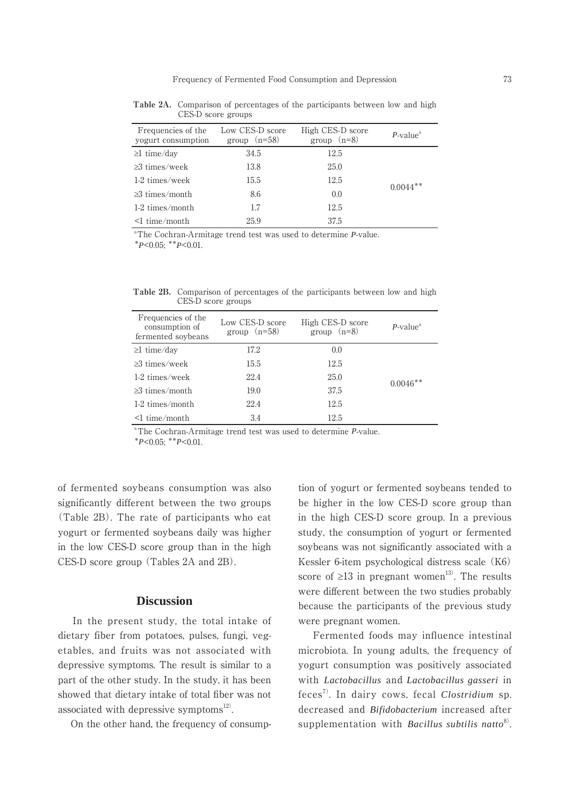| Frequencies of the<br>vogurt consumption | Low CES-D score<br>group $(n=58)$ | High CES-D score<br>group $(n=8)$ | $P$ -value <sup>a</sup> |
|------------------------------------------|-----------------------------------|-----------------------------------|-------------------------|
| $\geq$ 1 time/day                        | 34.5                              | 12.5                              |                         |
| $\geq$ 3 times/week                      | 13.8                              | 25.0                              |                         |
| 1-2 times/week                           | 15.5                              | 12.5                              | $0.0044**$              |
| $\geq$ 3 times/month                     | 8.6                               | 0.0                               |                         |
| 1-2 times/month                          | 1.7                               | 12.5                              |                         |
| $\leq$ 1 time/month                      | 25.9                              | 37.5                              |                         |

**Table 2A.** Comparison of percentages of the participants between low and high CES-D score groups

a The Cochran-Armitage trend test was used to determine *P*-value.

\**P*<0.05; \*\**P*<0.01.

**Table 2B.** Comparison of percentages of the participants between low and high CES-D score groups

| Frequencies of the<br>consumption of<br>fermented soybeans | Low CES-D score<br>group $(n=58)$ | High CES-D score<br>group $(n=8)$ | $P$ -value <sup>a</sup> |
|------------------------------------------------------------|-----------------------------------|-----------------------------------|-------------------------|
| $\geq$ 1 time/day                                          | 17.2                              | 0.0                               | $0.0046**$              |
| $\geq$ 3 times/week                                        | 15.5                              | 12.5                              |                         |
| 1-2 times/week                                             | 22.4                              | 25.0                              |                         |
| $\geq$ 3 times/month                                       | 19.0                              | 37.5                              |                         |
| $1-2$ times/month                                          | 22.4                              | 12.5                              |                         |
| $\leq 1$ time/month                                        | 3.4                               | 12.5                              |                         |

a The Cochran-Armitage trend test was used to determine *P*-value.

\**P*<0.05; \*\**P*<0.01.

of fermented soybeans consumption was also significantly different between the two groups (Table 2B). The rate of participants who eat yogurt or fermented soybeans daily was higher in the low CES-D score group than in the high CES-D score group (Tables 2A and 2B).

# **Discussion**

 In the present study, the total intake of dietary fiber from potatoes, pulses, fungi, vegetables, and fruits was not associated with depressive symptoms. The result is similar to a part of the other study. In the study, it has been showed that dietary intake of total fiber was not associated with depressive symptoms $^{12}$ .

On the other hand, the frequency of consump-

tion of yogurt or fermented soybeans tended to be higher in the low CES-D score group than in the high CES-D score group. In a previous study, the consumption of yogurt or fermented soybeans was not significantly associated with a Kessler 6-item psychological distress scale (K6) score of  $\geq 13$  in pregnant women<sup>13)</sup>. The results were different between the two studies probably because the participants of the previous study were pregnant women.

 Fermented foods may influence intestinal microbiota. In young adults, the frequency of yogurt consumption was positively associated with *Lactobacillus* and *Lactobacillus gasseri* in feces7). In dairy cows, fecal *Clostridium* sp. decreased and *Bifidobacterium* increased after supplementation with *Bacillus subtilis natto*<sup>8)</sup>.